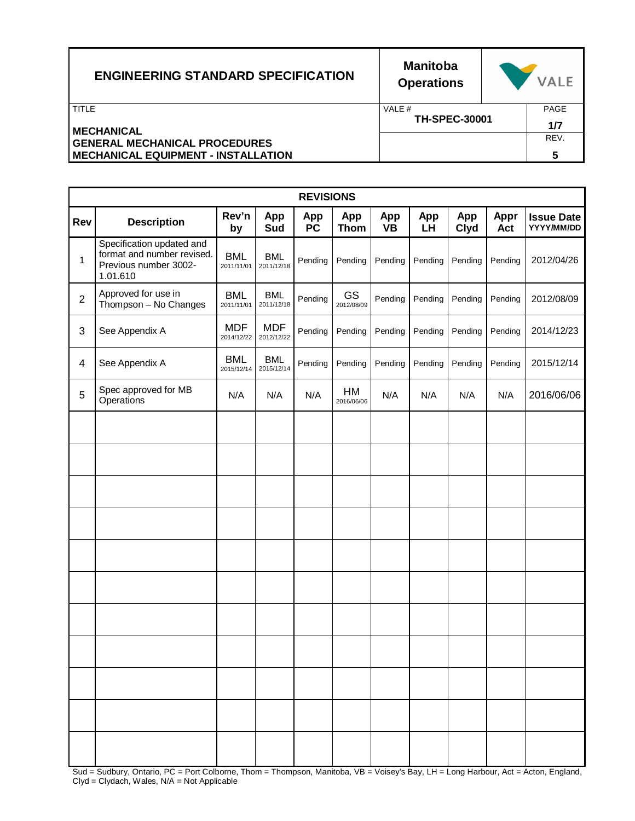| <b>ENGINEERING STANDARD SPECIFICATION</b>  | <b>Manitoba</b><br><b>Operations</b> | <b>VALE</b> |
|--------------------------------------------|--------------------------------------|-------------|
| TITLE                                      | VALE #                               | PAGE        |
| <b>MECHANICAL</b>                          | <b>TH-SPEC-30001</b>                 | 1/7         |
| <b>GENERAL MECHANICAL PROCEDURES</b>       |                                      | REV.        |
| <b>MECHANICAL EQUIPMENT - INSTALLATION</b> |                                      | 5           |

|                | <b>REVISIONS</b>                                                                             |                          |                          |                  |                    |                  |           |                    |                    |                                 |
|----------------|----------------------------------------------------------------------------------------------|--------------------------|--------------------------|------------------|--------------------|------------------|-----------|--------------------|--------------------|---------------------------------|
| Rev            | <b>Description</b>                                                                           | Rev'n<br>by              | App<br>Sud               | App<br><b>PC</b> | App<br><b>Thom</b> | App<br><b>VB</b> | App<br>LH | App<br><b>Clyd</b> | <b>Appr</b><br>Act | <b>Issue Date</b><br>YYYY/MM/DD |
| 1              | Specification updated and<br>format and number revised.<br>Previous number 3002-<br>1.01.610 | <b>BML</b><br>2011/11/01 | <b>BML</b><br>2011/12/18 | Pending          | Pending            | Pending          | Pending   | Pending            | Pending            | 2012/04/26                      |
| $\overline{c}$ | Approved for use in<br>Thompson - No Changes                                                 | <b>BML</b><br>2011/11/01 | <b>BML</b><br>2011/12/18 | Pending          | GS<br>2012/08/09   | Pending          | Pending   | Pending            | Pending            | 2012/08/09                      |
| 3              | See Appendix A                                                                               | <b>MDF</b><br>2014/12/22 | <b>MDF</b><br>2012/12/22 | Pending          | Pending            | Pending          | Pending   | Pending            | Pending            | 2014/12/23                      |
| 4              | See Appendix A                                                                               | <b>BML</b><br>2015/12/14 | <b>BML</b><br>2015/12/14 | Pending          | Pending            | Pending          | Pending   | Pending            | Pending            | 2015/12/14                      |
| 5              | Spec approved for MB<br>Operations                                                           | N/A                      | N/A                      | N/A              | HM<br>2016/06/06   | N/A              | N/A       | N/A                | N/A                | 2016/06/06                      |
|                |                                                                                              |                          |                          |                  |                    |                  |           |                    |                    |                                 |
|                |                                                                                              |                          |                          |                  |                    |                  |           |                    |                    |                                 |
|                |                                                                                              |                          |                          |                  |                    |                  |           |                    |                    |                                 |
|                |                                                                                              |                          |                          |                  |                    |                  |           |                    |                    |                                 |
|                |                                                                                              |                          |                          |                  |                    |                  |           |                    |                    |                                 |
|                |                                                                                              |                          |                          |                  |                    |                  |           |                    |                    |                                 |
|                |                                                                                              |                          |                          |                  |                    |                  |           |                    |                    |                                 |
|                |                                                                                              |                          |                          |                  |                    |                  |           |                    |                    |                                 |
|                |                                                                                              |                          |                          |                  |                    |                  |           |                    |                    |                                 |
|                |                                                                                              |                          |                          |                  |                    |                  |           |                    |                    |                                 |
|                |                                                                                              |                          |                          |                  |                    |                  |           |                    |                    |                                 |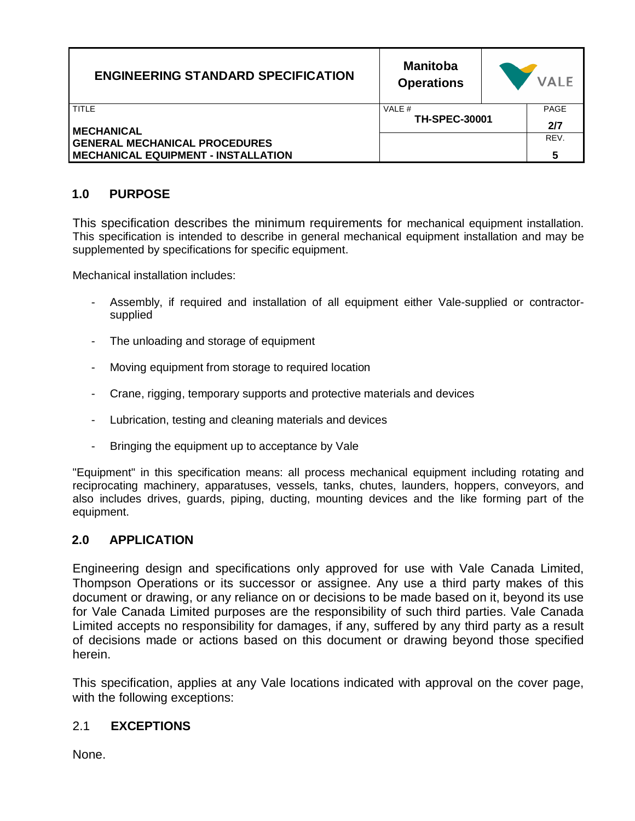| <b>ENGINEERING STANDARD SPECIFICATION</b>                                                               | <b>Manitoba</b><br><b>Operations</b> | <b>VALE</b> |
|---------------------------------------------------------------------------------------------------------|--------------------------------------|-------------|
| TITLE                                                                                                   | VALE #<br><b>TH-SPEC-30001</b>       | PAGE<br>2/7 |
| <b>MECHANICAL</b><br><b>GENERAL MECHANICAL PROCEDURES</b><br><b>MECHANICAL EQUIPMENT - INSTALLATION</b> |                                      | REV.<br>5   |

## **1.0 PURPOSE**

This specification describes the minimum requirements for mechanical equipment installation. This specification is intended to describe in general mechanical equipment installation and may be supplemented by specifications for specific equipment.

Mechanical installation includes:

- Assembly, if required and installation of all equipment either Vale-supplied or contractorsupplied
- The unloading and storage of equipment
- Moving equipment from storage to required location
- Crane, rigging, temporary supports and protective materials and devices
- Lubrication, testing and cleaning materials and devices
- Bringing the equipment up to acceptance by Vale

"Equipment" in this specification means: all process mechanical equipment including rotating and reciprocating machinery, apparatuses, vessels, tanks, chutes, launders, hoppers, conveyors, and also includes drives, guards, piping, ducting, mounting devices and the like forming part of the equipment.

#### **2.0 APPLICATION**

Engineering design and specifications only approved for use with Vale Canada Limited, Thompson Operations or its successor or assignee. Any use a third party makes of this document or drawing, or any reliance on or decisions to be made based on it, beyond its use for Vale Canada Limited purposes are the responsibility of such third parties. Vale Canada Limited accepts no responsibility for damages, if any, suffered by any third party as a result of decisions made or actions based on this document or drawing beyond those specified herein.

This specification, applies at any Vale locations indicated with approval on the cover page, with the following exceptions:

### 2.1 **EXCEPTIONS**

None.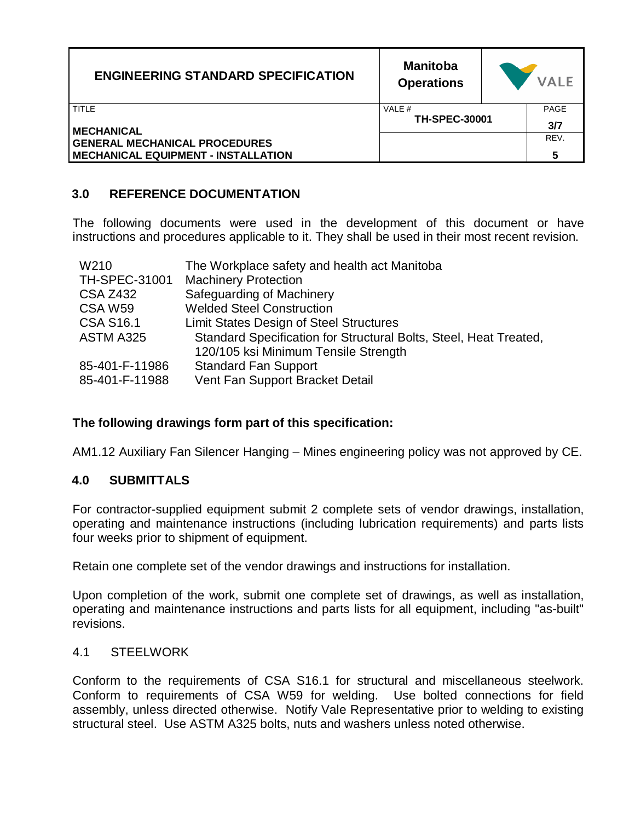| <b>ENGINEERING STANDARD SPECIFICATION</b>  | <b>Manitoba</b><br><b>Operations</b> | <b>VALE</b> |
|--------------------------------------------|--------------------------------------|-------------|
| TITLE                                      | VALE #                               | PAGE        |
| <b>MECHANICAL</b>                          | <b>TH-SPEC-30001</b>                 | 3/7         |
| <b>GENERAL MECHANICAL PROCEDURES</b>       |                                      | REV.        |
| <b>MECHANICAL EQUIPMENT - INSTALLATION</b> |                                      | 5           |

# **3.0 REFERENCE DOCUMENTATION**

The following documents were used in the development of this document or have instructions and procedures applicable to it. They shall be used in their most recent revision.

| W210                 | The Workplace safety and health act Manitoba                      |
|----------------------|-------------------------------------------------------------------|
| <b>TH-SPEC-31001</b> | <b>Machinery Protection</b>                                       |
| <b>CSA Z432</b>      | Safeguarding of Machinery                                         |
| CSA W <sub>59</sub>  | <b>Welded Steel Construction</b>                                  |
| <b>CSA S16.1</b>     | Limit States Design of Steel Structures                           |
| ASTM A325            | Standard Specification for Structural Bolts, Steel, Heat Treated, |
|                      | 120/105 ksi Minimum Tensile Strength                              |
| 85-401-F-11986       | <b>Standard Fan Support</b>                                       |
| 85-401-F-11988       | Vent Fan Support Bracket Detail                                   |

#### **The following drawings form part of this specification:**

AM1.12 Auxiliary Fan Silencer Hanging – Mines engineering policy was not approved by CE.

#### **4.0 SUBMITTALS**

For contractor-supplied equipment submit 2 complete sets of vendor drawings, installation, operating and maintenance instructions (including lubrication requirements) and parts lists four weeks prior to shipment of equipment.

Retain one complete set of the vendor drawings and instructions for installation.

Upon completion of the work, submit one complete set of drawings, as well as installation, operating and maintenance instructions and parts lists for all equipment, including "as-built" revisions.

#### 4.1 STEELWORK

Conform to the requirements of CSA S16.1 for structural and miscellaneous steelwork. Conform to requirements of CSA W59 for welding. Use bolted connections for field assembly, unless directed otherwise. Notify Vale Representative prior to welding to existing structural steel. Use ASTM A325 bolts, nuts and washers unless noted otherwise.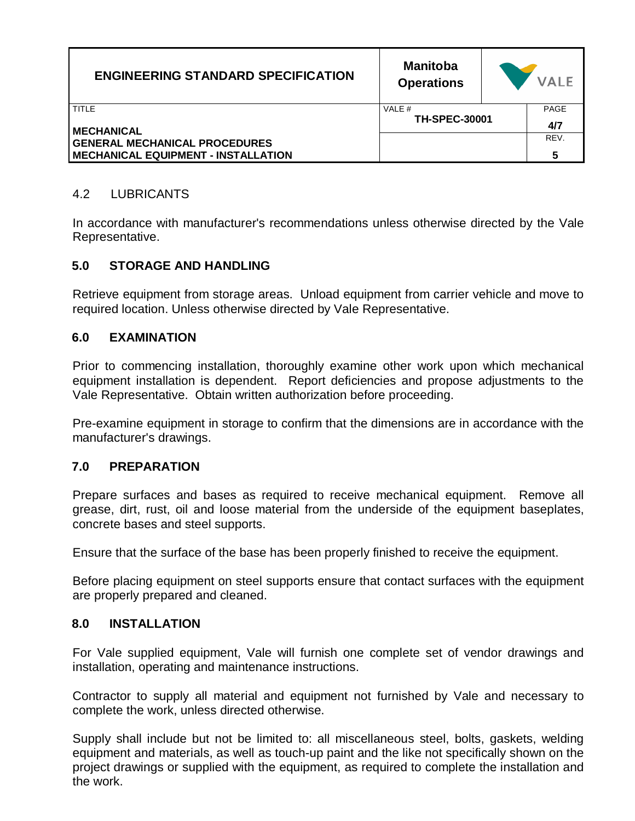| <b>ENGINEERING STANDARD SPECIFICATION</b>  | <b>Manitoba</b><br><b>Operations</b> | <b>VALE</b> |
|--------------------------------------------|--------------------------------------|-------------|
| TITLE                                      | VALE #<br><b>TH-SPEC-30001</b>       | <b>PAGE</b> |
| <b>MECHANICAL</b>                          |                                      | 4/7         |
| <b>GENERAL MECHANICAL PROCEDURES</b>       |                                      | REV.        |
| <b>MECHANICAL EQUIPMENT - INSTALLATION</b> |                                      | 5           |

## 4.2 LUBRICANTS

In accordance with manufacturer's recommendations unless otherwise directed by the Vale Representative.

### **5.0 STORAGE AND HANDLING**

Retrieve equipment from storage areas. Unload equipment from carrier vehicle and move to required location. Unless otherwise directed by Vale Representative.

### **6.0 EXAMINATION**

Prior to commencing installation, thoroughly examine other work upon which mechanical equipment installation is dependent. Report deficiencies and propose adjustments to the Vale Representative. Obtain written authorization before proceeding.

Pre-examine equipment in storage to confirm that the dimensions are in accordance with the manufacturer's drawings.

#### **7.0 PREPARATION**

Prepare surfaces and bases as required to receive mechanical equipment. Remove all grease, dirt, rust, oil and loose material from the underside of the equipment baseplates, concrete bases and steel supports.

Ensure that the surface of the base has been properly finished to receive the equipment.

Before placing equipment on steel supports ensure that contact surfaces with the equipment are properly prepared and cleaned.

#### **8.0 INSTALLATION**

For Vale supplied equipment, Vale will furnish one complete set of vendor drawings and installation, operating and maintenance instructions.

Contractor to supply all material and equipment not furnished by Vale and necessary to complete the work, unless directed otherwise.

Supply shall include but not be limited to: all miscellaneous steel, bolts, gaskets, welding equipment and materials, as well as touch-up paint and the like not specifically shown on the project drawings or supplied with the equipment, as required to complete the installation and the work.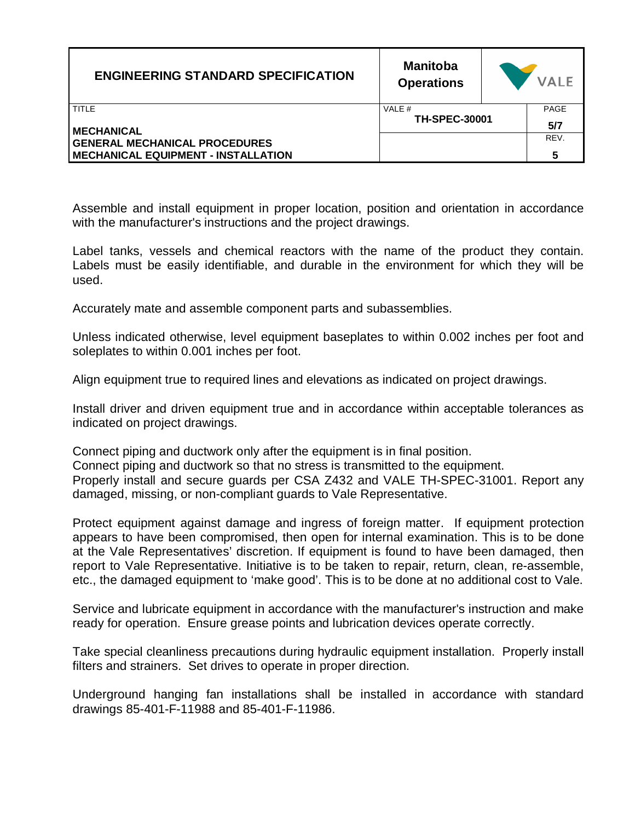| <b>ENGINEERING STANDARD SPECIFICATION</b>  | <b>Manitoba</b><br><b>Operations</b> | <b>VALE</b> |  |
|--------------------------------------------|--------------------------------------|-------------|--|
| <b>TITLE</b>                               | VALE #                               | PAGE        |  |
| <b>MECHANICAL</b>                          | <b>TH-SPEC-30001</b>                 | 5/7         |  |
| <b>GENERAL MECHANICAL PROCEDURES</b>       |                                      | REV.        |  |
| <b>MECHANICAL EQUIPMENT - INSTALLATION</b> |                                      | 5           |  |

Assemble and install equipment in proper location, position and orientation in accordance with the manufacturer's instructions and the project drawings.

Label tanks, vessels and chemical reactors with the name of the product they contain. Labels must be easily identifiable, and durable in the environment for which they will be used.

Accurately mate and assemble component parts and subassemblies.

Unless indicated otherwise, level equipment baseplates to within 0.002 inches per foot and soleplates to within 0.001 inches per foot.

Align equipment true to required lines and elevations as indicated on project drawings.

Install driver and driven equipment true and in accordance within acceptable tolerances as indicated on project drawings.

Connect piping and ductwork only after the equipment is in final position. Connect piping and ductwork so that no stress is transmitted to the equipment. Properly install and secure guards per CSA Z432 and VALE TH-SPEC-31001. Report any damaged, missing, or non-compliant guards to Vale Representative.

Protect equipment against damage and ingress of foreign matter. If equipment protection appears to have been compromised, then open for internal examination. This is to be done at the Vale Representatives' discretion. If equipment is found to have been damaged, then report to Vale Representative. Initiative is to be taken to repair, return, clean, re-assemble, etc., the damaged equipment to 'make good'. This is to be done at no additional cost to Vale.

Service and lubricate equipment in accordance with the manufacturer's instruction and make ready for operation. Ensure grease points and lubrication devices operate correctly.

Take special cleanliness precautions during hydraulic equipment installation. Properly install filters and strainers. Set drives to operate in proper direction.

Underground hanging fan installations shall be installed in accordance with standard drawings 85-401-F-11988 and 85-401-F-11986.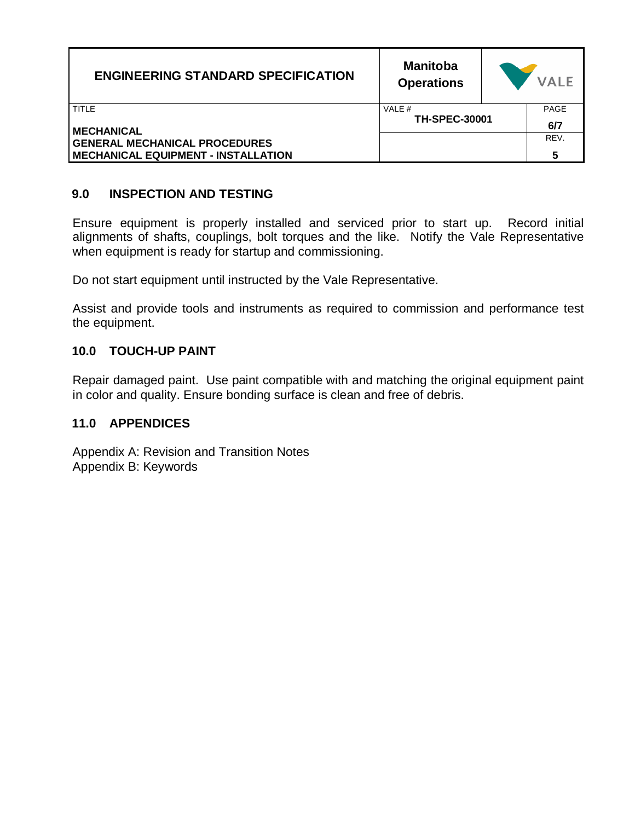| <b>ENGINEERING STANDARD SPECIFICATION</b>                                          | <b>Manitoba</b><br><b>Operations</b> | <b>VALE</b> |
|------------------------------------------------------------------------------------|--------------------------------------|-------------|
| TITLE<br><b>MECHANICAL</b>                                                         | VALE #<br><b>TH-SPEC-30001</b>       | PAGE<br>6/7 |
| <b>GENERAL MECHANICAL PROCEDURES</b><br><b>MECHANICAL EQUIPMENT - INSTALLATION</b> |                                      | REV.<br>5   |

## **9.0 INSPECTION AND TESTING**

Ensure equipment is properly installed and serviced prior to start up. Record initial alignments of shafts, couplings, bolt torques and the like. Notify the Vale Representative when equipment is ready for startup and commissioning.

Do not start equipment until instructed by the Vale Representative.

Assist and provide tools and instruments as required to commission and performance test the equipment.

### **10.0 TOUCH-UP PAINT**

Repair damaged paint. Use paint compatible with and matching the original equipment paint in color and quality. Ensure bonding surface is clean and free of debris.

#### **11.0 APPENDICES**

Appendix A: Revision and Transition Notes Appendix B: Keywords